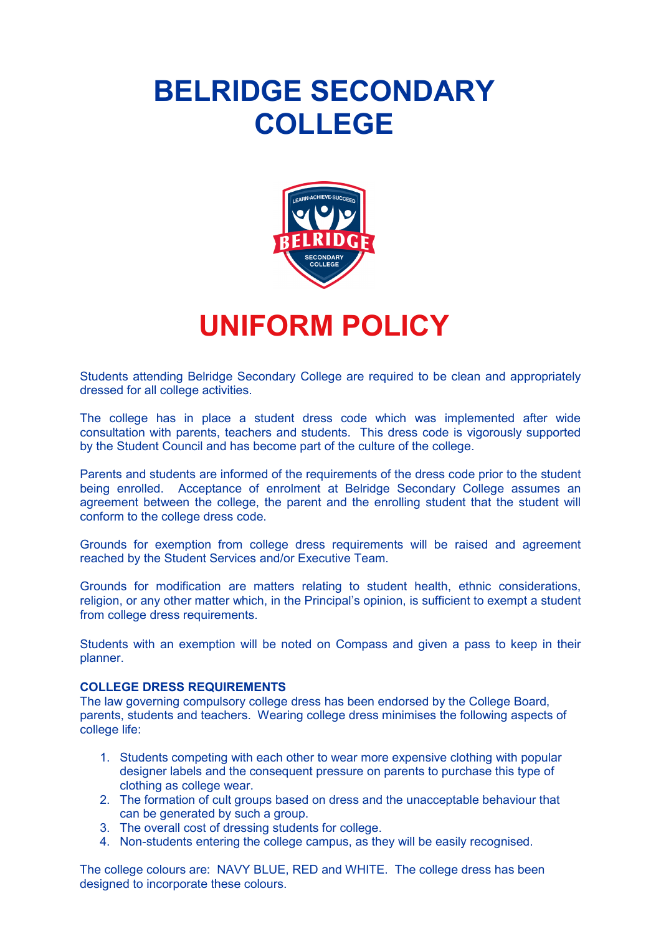# **BELRIDGE SECONDARY COLLEGE**



## **UNIFORM POLICY**

Students attending Belridge Secondary College are required to be clean and appropriately dressed for all college activities.

The college has in place a student dress code which was implemented after wide consultation with parents, teachers and students. This dress code is vigorously supported by the Student Council and has become part of the culture of the college.

Parents and students are informed of the requirements of the dress code prior to the student being enrolled. Acceptance of enrolment at Belridge Secondary College assumes an agreement between the college, the parent and the enrolling student that the student will conform to the college dress code.

Grounds for exemption from college dress requirements will be raised and agreement reached by the Student Services and/or Executive Team.

Grounds for modification are matters relating to student health, ethnic considerations, religion, or any other matter which, in the Principal's opinion, is sufficient to exempt a student from college dress requirements.

Students with an exemption will be noted on Compass and given a pass to keep in their planner.

#### **COLLEGE DRESS REQUIREMENTS**

The law governing compulsory college dress has been endorsed by the College Board, parents, students and teachers. Wearing college dress minimises the following aspects of college life:

- 1. Students competing with each other to wear more expensive clothing with popular designer labels and the consequent pressure on parents to purchase this type of clothing as college wear.
- 2. The formation of cult groups based on dress and the unacceptable behaviour that can be generated by such a group.
- 3. The overall cost of dressing students for college.
- 4. Non-students entering the college campus, as they will be easily recognised.

The college colours are: NAVY BLUE, RED and WHITE. The college dress has been designed to incorporate these colours.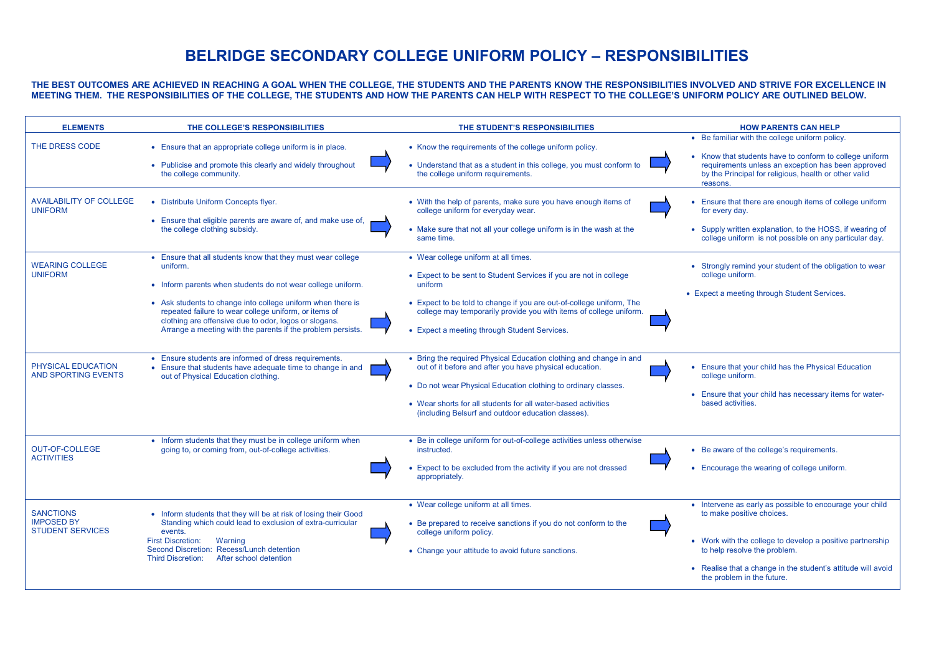### **BELRIDGE SECONDARY COLLEGE UNIFORM POLICY – RESPONSIBILITIES**

**THE BEST OUTCOMES ARE ACHIEVED IN REACHING A GOAL WHEN THE COLLEGE, THE STUDENTS AND THE PARENTS KNOW THE RESPONSIBILITIES INVOLVED AND STRIVE FOR EXCELLENCE IN MEETING THEM. THE RESPONSIBILITIES OF THE COLLEGE, THE STUDENTS AND HOW THE PARENTS CAN HELP WITH RESPECT TO THE COLLEGE'S UNIFORM POLICY ARE OUTLINED BELOW.**

| <b>ELEMENTS</b>                                                  | THE COLLEGE'S RESPONSIBILITIES                                                                                                                                                                                                                                                                                                                                                         | THE STUDENT'S RESPONSIBILITIES                                                                                                                                                                                                                                                                                         | <b>HOW PARENTS CAN HELP</b>                                                                                                                                                                                                                                                      |
|------------------------------------------------------------------|----------------------------------------------------------------------------------------------------------------------------------------------------------------------------------------------------------------------------------------------------------------------------------------------------------------------------------------------------------------------------------------|------------------------------------------------------------------------------------------------------------------------------------------------------------------------------------------------------------------------------------------------------------------------------------------------------------------------|----------------------------------------------------------------------------------------------------------------------------------------------------------------------------------------------------------------------------------------------------------------------------------|
| THE DRESS CODE                                                   | • Ensure that an appropriate college uniform is in place.<br>• Publicise and promote this clearly and widely throughout<br>the college community.                                                                                                                                                                                                                                      | • Know the requirements of the college uniform policy.<br>• Understand that as a student in this college, you must conform to<br>the college uniform requirements.                                                                                                                                                     | • Be familiar with the college uniform policy.<br>• Know that students have to conform to college uniform<br>requirements unless an exception has been approved<br>by the Principal for religious, health or other valid<br>reasons.                                             |
| <b>AVAILABILITY OF COLLEGE</b><br><b>UNIFORM</b>                 | • Distribute Uniform Concepts flyer.<br>• Ensure that eligible parents are aware of, and make use of,<br>the college clothing subsidy.                                                                                                                                                                                                                                                 | • With the help of parents, make sure you have enough items of<br>college uniform for everyday wear.<br>• Make sure that not all your college uniform is in the wash at the<br>same time.                                                                                                                              | • Ensure that there are enough items of college uniform<br>for every day.<br>• Supply written explanation, to the HOSS, if wearing of<br>college uniform is not possible on any particular day.                                                                                  |
| <b>WEARING COLLEGE</b><br><b>UNIFORM</b>                         | • Ensure that all students know that they must wear college<br>uniform.<br>• Inform parents when students do not wear college uniform.<br>• Ask students to change into college uniform when there is<br>repeated failure to wear college uniform, or items of<br>clothing are offensive due to odor, logos or slogans.<br>Arrange a meeting with the parents if the problem persists. | • Wear college uniform at all times.<br>• Expect to be sent to Student Services if you are not in college<br>uniform<br>• Expect to be told to change if you are out-of-college uniform, The<br>college may temporarily provide you with items of college uniform.<br>• Expect a meeting through Student Services.     | • Strongly remind your student of the obligation to wear<br>college uniform.<br>• Expect a meeting through Student Services.                                                                                                                                                     |
| PHYSICAL EDUCATION<br><b>AND SPORTING EVENTS</b>                 | • Ensure students are informed of dress requirements.<br>• Ensure that students have adequate time to change in and<br>out of Physical Education clothing.                                                                                                                                                                                                                             | • Bring the required Physical Education clothing and change in and<br>out of it before and after you have physical education.<br>• Do not wear Physical Education clothing to ordinary classes.<br>• Wear shorts for all students for all water-based activities<br>(including Belsurf and outdoor education classes). | • Ensure that your child has the Physical Education<br>college uniform.<br>• Ensure that your child has necessary items for water-<br>based activities.                                                                                                                          |
| <b>OUT-OF-COLLEGE</b><br><b>ACTIVITIES</b>                       | • Inform students that they must be in college uniform when<br>going to, or coming from, out-of-college activities.                                                                                                                                                                                                                                                                    | • Be in college uniform for out-of-college activities unless otherwise<br>instructed.<br>• Expect to be excluded from the activity if you are not dressed<br>appropriately.                                                                                                                                            | • Be aware of the college's requirements.<br>• Encourage the wearing of college uniform.                                                                                                                                                                                         |
| <b>SANCTIONS</b><br><b>IMPOSED BY</b><br><b>STUDENT SERVICES</b> | • Inform students that they will be at risk of losing their Good<br>Standing which could lead to exclusion of extra-curricular<br>events.<br><b>First Discretion:</b><br>Warning<br>Second Discretion: Recess/Lunch detention<br><b>Third Discretion:</b><br>After school detention                                                                                                    | • Wear college uniform at all times.<br>• Be prepared to receive sanctions if you do not conform to the<br>college uniform policy.<br>• Change your attitude to avoid future sanctions.                                                                                                                                | • Intervene as early as possible to encourage your child<br>to make positive choices.<br>• Work with the college to develop a positive partnership<br>to help resolve the problem.<br>• Realise that a change in the student's attitude will avoid<br>the problem in the future. |